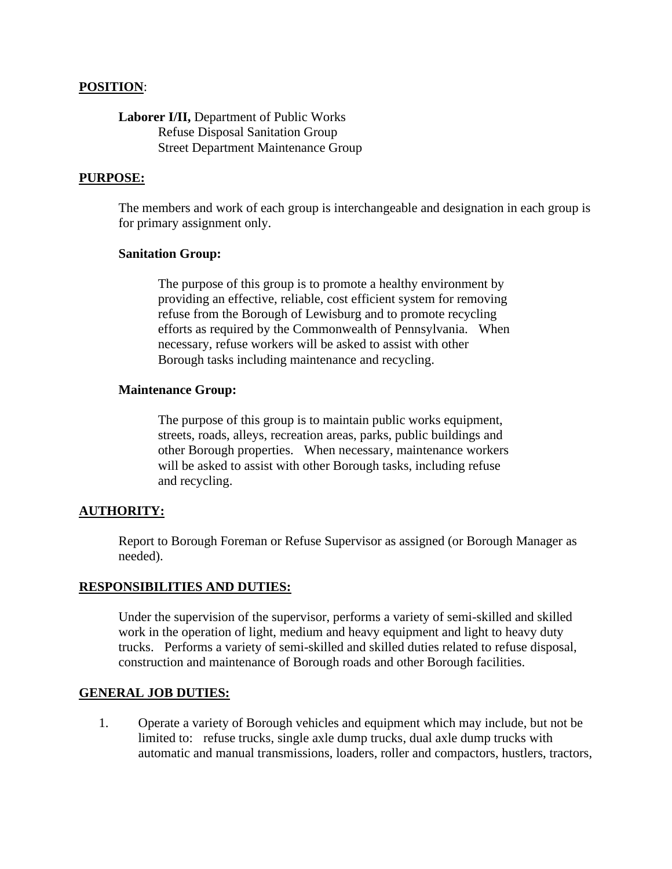## **POSITION**:

# **Laborer I/II,** Department of Public Works Refuse Disposal Sanitation Group Street Department Maintenance Group

### **PURPOSE:**

The members and work of each group is interchangeable and designation in each group is for primary assignment only.

### **Sanitation Group:**

The purpose of this group is to promote a healthy environment by providing an effective, reliable, cost efficient system for removing refuse from the Borough of Lewisburg and to promote recycling efforts as required by the Commonwealth of Pennsylvania. When necessary, refuse workers will be asked to assist with other Borough tasks including maintenance and recycling.

#### **Maintenance Group:**

The purpose of this group is to maintain public works equipment, streets, roads, alleys, recreation areas, parks, public buildings and other Borough properties. When necessary, maintenance workers will be asked to assist with other Borough tasks, including refuse and recycling.

### **AUTHORITY:**

Report to Borough Foreman or Refuse Supervisor as assigned (or Borough Manager as needed).

#### **RESPONSIBILITIES AND DUTIES:**

Under the supervision of the supervisor, performs a variety of semi-skilled and skilled work in the operation of light, medium and heavy equipment and light to heavy duty trucks. Performs a variety of semi-skilled and skilled duties related to refuse disposal, construction and maintenance of Borough roads and other Borough facilities.

### **GENERAL JOB DUTIES:**

1. Operate a variety of Borough vehicles and equipment which may include, but not be limited to: refuse trucks, single axle dump trucks, dual axle dump trucks with automatic and manual transmissions, loaders, roller and compactors, hustlers, tractors,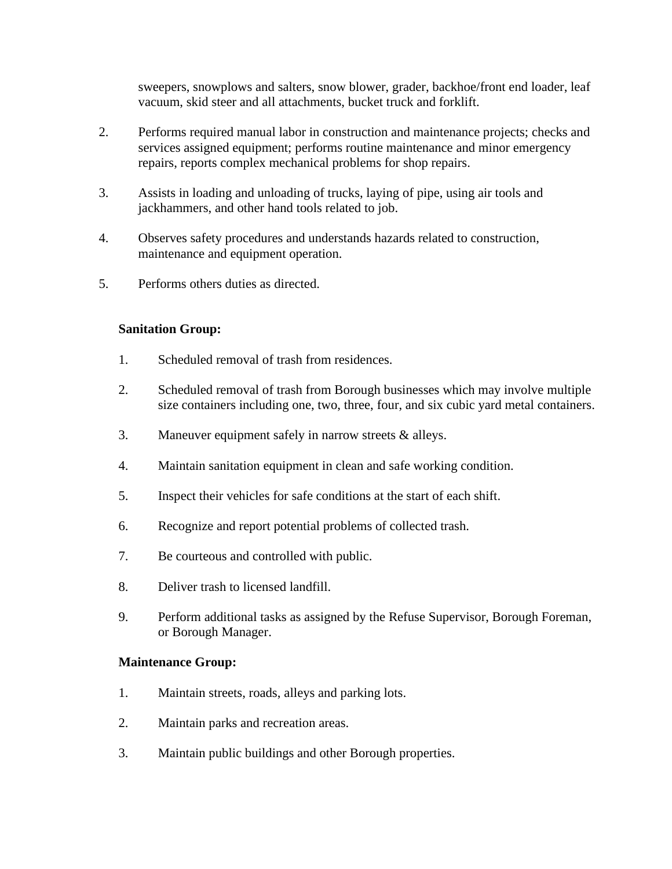sweepers, snowplows and salters, snow blower, grader, backhoe/front end loader, leaf vacuum, skid steer and all attachments, bucket truck and forklift.

- 2. Performs required manual labor in construction and maintenance projects; checks and services assigned equipment; performs routine maintenance and minor emergency repairs, reports complex mechanical problems for shop repairs.
- 3. Assists in loading and unloading of trucks, laying of pipe, using air tools and jackhammers, and other hand tools related to job.
- 4. Observes safety procedures and understands hazards related to construction, maintenance and equipment operation.
- 5. Performs others duties as directed.

# **Sanitation Group:**

- 1. Scheduled removal of trash from residences.
- 2. Scheduled removal of trash from Borough businesses which may involve multiple size containers including one, two, three, four, and six cubic yard metal containers.
- 3. Maneuver equipment safely in narrow streets & alleys.
- 4. Maintain sanitation equipment in clean and safe working condition.
- 5. Inspect their vehicles for safe conditions at the start of each shift.
- 6. Recognize and report potential problems of collected trash.
- 7. Be courteous and controlled with public.
- 8. Deliver trash to licensed landfill.
- 9. Perform additional tasks as assigned by the Refuse Supervisor, Borough Foreman, or Borough Manager.

# **Maintenance Group:**

- 1. Maintain streets, roads, alleys and parking lots.
- 2. Maintain parks and recreation areas.
- 3. Maintain public buildings and other Borough properties.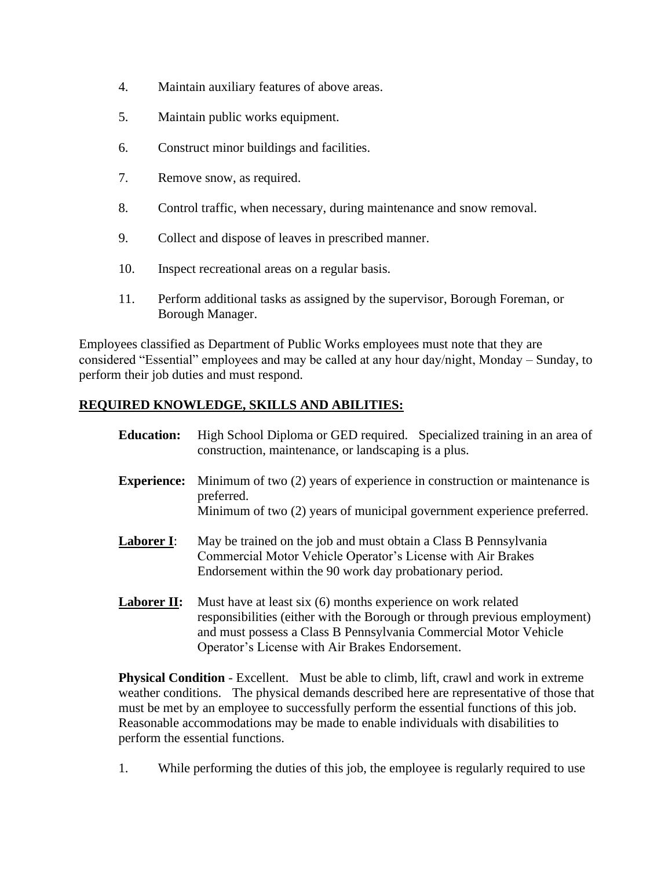- 4. Maintain auxiliary features of above areas.
- 5. Maintain public works equipment.
- 6. Construct minor buildings and facilities.
- 7. Remove snow, as required.
- 8. Control traffic, when necessary, during maintenance and snow removal.
- 9. Collect and dispose of leaves in prescribed manner.
- 10. Inspect recreational areas on a regular basis.
- 11. Perform additional tasks as assigned by the supervisor, Borough Foreman, or Borough Manager.

Employees classified as Department of Public Works employees must note that they are considered "Essential" employees and may be called at any hour day/night, Monday – Sunday, to perform their job duties and must respond.

# **REQUIRED KNOWLEDGE, SKILLS AND ABILITIES:**

- **Education:** High School Diploma or GED required. Specialized training in an area of construction, maintenance, or landscaping is a plus. **Experience:** Minimum of two (2) years of experience in construction or maintenance is preferred. Minimum of two (2) years of municipal government experience preferred. **Laborer I**: May be trained on the job and must obtain a Class B Pennsylvania Commercial Motor Vehicle Operator's License with Air Brakes Endorsement within the 90 work day probationary period.
- **Laborer II:** Must have at least six (6) months experience on work related responsibilities (either with the Borough or through previous employment) and must possess a Class B Pennsylvania Commercial Motor Vehicle Operator's License with Air Brakes Endorsement.

**Physical Condition** - Excellent. Must be able to climb, lift, crawl and work in extreme weather conditions. The physical demands described here are representative of those that must be met by an employee to successfully perform the essential functions of this job. Reasonable accommodations may be made to enable individuals with disabilities to perform the essential functions.

1. While performing the duties of this job, the employee is regularly required to use